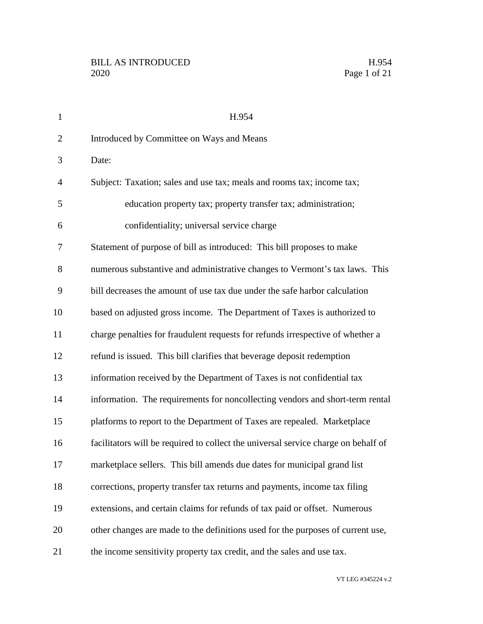| $\mathbf{1}$   | H.954                                                                              |
|----------------|------------------------------------------------------------------------------------|
| $\overline{2}$ | Introduced by Committee on Ways and Means                                          |
| 3              | Date:                                                                              |
| $\overline{4}$ | Subject: Taxation; sales and use tax; meals and rooms tax; income tax;             |
| 5              | education property tax; property transfer tax; administration;                     |
| 6              | confidentiality; universal service charge                                          |
| 7              | Statement of purpose of bill as introduced: This bill proposes to make             |
| 8              | numerous substantive and administrative changes to Vermont's tax laws. This        |
| 9              | bill decreases the amount of use tax due under the safe harbor calculation         |
| 10             | based on adjusted gross income. The Department of Taxes is authorized to           |
| 11             | charge penalties for fraudulent requests for refunds irrespective of whether a     |
| 12             | refund is issued. This bill clarifies that beverage deposit redemption             |
| 13             | information received by the Department of Taxes is not confidential tax            |
| 14             | information. The requirements for noncollecting vendors and short-term rental      |
| 15             | platforms to report to the Department of Taxes are repealed. Marketplace           |
| 16             | facilitators will be required to collect the universal service charge on behalf of |
| 17             | marketplace sellers. This bill amends due dates for municipal grand list           |
| 18             | corrections, property transfer tax returns and payments, income tax filing         |
| 19             | extensions, and certain claims for refunds of tax paid or offset. Numerous         |
| 20             | other changes are made to the definitions used for the purposes of current use,    |
| 21             | the income sensitivity property tax credit, and the sales and use tax.             |

VT LEG #345224 v.2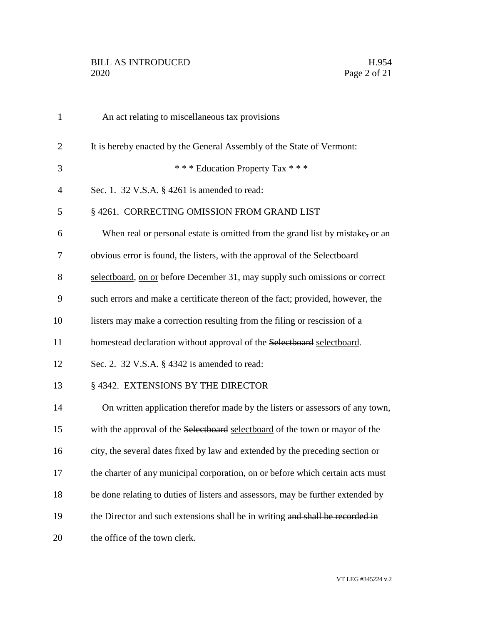| $\mathbf{1}$   | An act relating to miscellaneous tax provisions                                 |
|----------------|---------------------------------------------------------------------------------|
| $\overline{2}$ | It is hereby enacted by the General Assembly of the State of Vermont:           |
| 3              | *** Education Property Tax ***                                                  |
| 4              | Sec. 1. 32 V.S.A. $\S$ 4261 is amended to read:                                 |
| 5              | § 4261. CORRECTING OMISSION FROM GRAND LIST                                     |
| 6              | When real or personal estate is omitted from the grand list by mistake, or an   |
| 7              | obvious error is found, the listers, with the approval of the Selectboard       |
| 8              | selectboard, on or before December 31, may supply such omissions or correct     |
| 9              | such errors and make a certificate thereon of the fact; provided, however, the  |
| 10             | listers may make a correction resulting from the filing or rescission of a      |
| 11             | homestead declaration without approval of the Selectboard selectboard.          |
| 12             | Sec. 2. 32 V.S.A. § 4342 is amended to read:                                    |
| 13             | § 4342. EXTENSIONS BY THE DIRECTOR                                              |
| 14             | On written application therefor made by the listers or assessors of any town,   |
| 15             | with the approval of the Selectboard selectboard of the town or mayor of the    |
| 16             | city, the several dates fixed by law and extended by the preceding section or   |
| 17             | the charter of any municipal corporation, on or before which certain acts must  |
| 18             | be done relating to duties of listers and assessors, may be further extended by |
| 19             | the Director and such extensions shall be in writing and shall be recorded in   |
| 20             | the office of the town clerk.                                                   |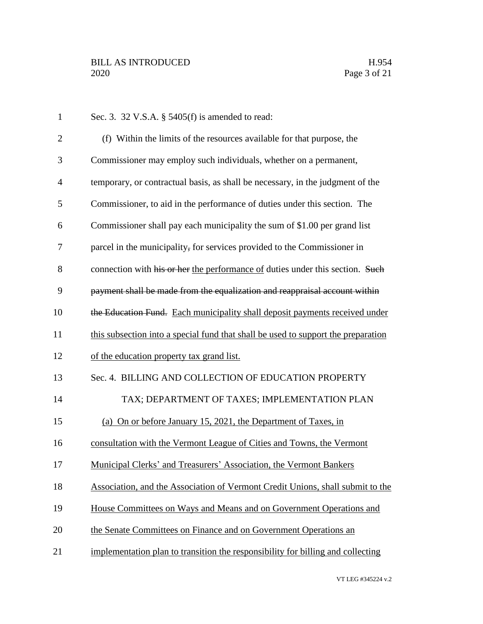| $\mathbf{1}$   | Sec. 3. 32 V.S.A. § 5405(f) is amended to read:                                   |
|----------------|-----------------------------------------------------------------------------------|
| $\overline{2}$ | (f) Within the limits of the resources available for that purpose, the            |
| 3              | Commissioner may employ such individuals, whether on a permanent,                 |
| 4              | temporary, or contractual basis, as shall be necessary, in the judgment of the    |
| 5              | Commissioner, to aid in the performance of duties under this section. The         |
| 6              | Commissioner shall pay each municipality the sum of \$1.00 per grand list         |
| 7              | parcel in the municipality, for services provided to the Commissioner in          |
| 8              | connection with his or her the performance of duties under this section. Such     |
| 9              | payment shall be made from the equalization and reappraisal account within        |
| 10             | the Education Fund. Each municipality shall deposit payments received under       |
| 11             | this subsection into a special fund that shall be used to support the preparation |
| 12             | of the education property tax grand list.                                         |
| 13             | Sec. 4. BILLING AND COLLECTION OF EDUCATION PROPERTY                              |
| 14             | TAX; DEPARTMENT OF TAXES; IMPLEMENTATION PLAN                                     |
| 15             | (a) On or before January 15, 2021, the Department of Taxes, in                    |
| 16             | consultation with the Vermont League of Cities and Towns, the Vermont             |
| 17             | Municipal Clerks' and Treasurers' Association, the Vermont Bankers                |
| 18             | Association, and the Association of Vermont Credit Unions, shall submit to the    |
| 19             | House Committees on Ways and Means and on Government Operations and               |
| 20             | the Senate Committees on Finance and on Government Operations an                  |
| 21             | implementation plan to transition the responsibility for billing and collecting   |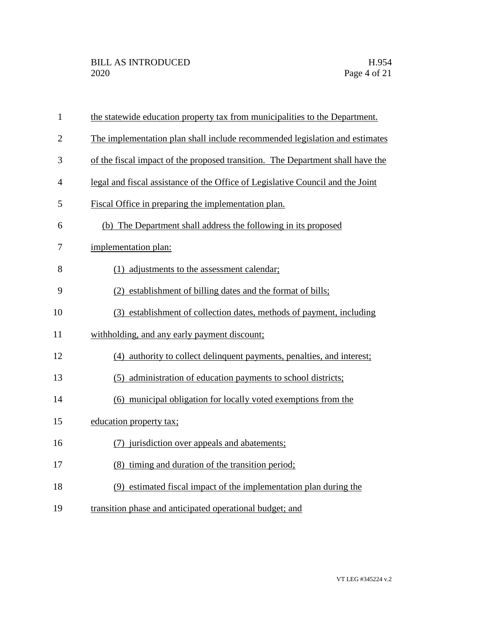| $\mathbf{1}$   | the statewide education property tax from municipalities to the Department.    |
|----------------|--------------------------------------------------------------------------------|
| $\overline{2}$ | The implementation plan shall include recommended legislation and estimates    |
| 3              | of the fiscal impact of the proposed transition. The Department shall have the |
| $\overline{4}$ | legal and fiscal assistance of the Office of Legislative Council and the Joint |
| 5              | Fiscal Office in preparing the implementation plan.                            |
| 6              | (b) The Department shall address the following in its proposed                 |
| 7              | implementation plan:                                                           |
| 8              | (1) adjustments to the assessment calendar;                                    |
| 9              | (2) establishment of billing dates and the format of bills;                    |
| 10             | (3) establishment of collection dates, methods of payment, including           |
| 11             | withholding, and any early payment discount;                                   |
| 12             | (4) authority to collect delinquent payments, penalties, and interest;         |
| 13             | (5) administration of education payments to school districts;                  |
| 14             | (6) municipal obligation for locally voted exemptions from the                 |
| 15             | education property tax;                                                        |
| 16             | (7) jurisdiction over appeals and abatements;                                  |
| 17             | (8) timing and duration of the transition period;                              |
| 18             | (9) estimated fiscal impact of the implementation plan during the              |
| 19             | transition phase and anticipated operational budget; and                       |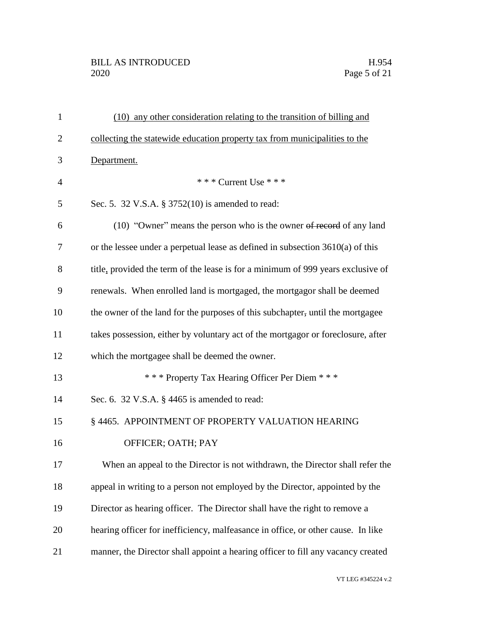| $\mathbf{1}$   | (10) any other consideration relating to the transition of billing and           |
|----------------|----------------------------------------------------------------------------------|
| $\overline{2}$ | collecting the statewide education property tax from municipalities to the       |
| 3              | Department.                                                                      |
| $\overline{4}$ | *** Current Use ***                                                              |
| 5              | Sec. 5. 32 V.S.A. § 3752(10) is amended to read:                                 |
| 6              | (10) "Owner" means the person who is the owner of record of any land             |
| 7              | or the lessee under a perpetual lease as defined in subsection $3610(a)$ of this |
| 8              | title, provided the term of the lease is for a minimum of 999 years exclusive of |
| 9              | renewals. When enrolled land is mortgaged, the mortgagor shall be deemed         |
| 10             | the owner of the land for the purposes of this subchapter, until the mortgagee   |
| 11             | takes possession, either by voluntary act of the mortgagor or foreclosure, after |
| 12             | which the mortgagee shall be deemed the owner.                                   |
| 13             | *** Property Tax Hearing Officer Per Diem ***                                    |
| 14             | Sec. 6. 32 V.S.A. § 4465 is amended to read:                                     |
| 15             | § 4465. APPOINTMENT OF PROPERTY VALUATION HEARING                                |
| 16             | OFFICER; OATH; PAY                                                               |
| 17             | When an appeal to the Director is not withdrawn, the Director shall refer the    |
| 18             | appeal in writing to a person not employed by the Director, appointed by the     |
| 19             | Director as hearing officer. The Director shall have the right to remove a       |
| 20             | hearing officer for inefficiency, malfeasance in office, or other cause. In like |
| 21             | manner, the Director shall appoint a hearing officer to fill any vacancy created |
|                |                                                                                  |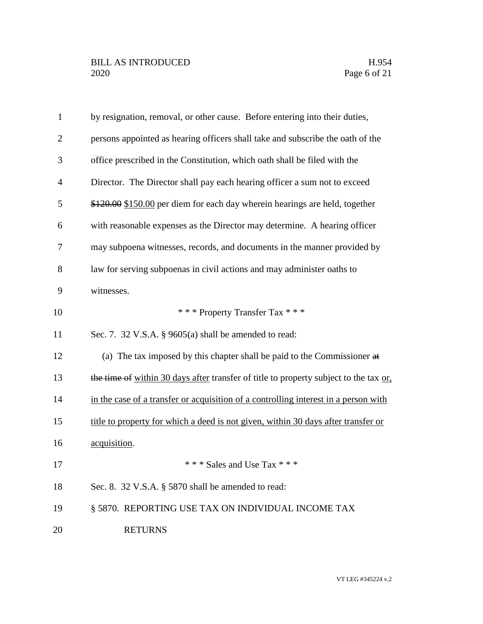| $\mathbf{1}$   | by resignation, removal, or other cause. Before entering into their duties,           |
|----------------|---------------------------------------------------------------------------------------|
| $\overline{2}$ | persons appointed as hearing officers shall take and subscribe the oath of the        |
| 3              | office prescribed in the Constitution, which oath shall be filed with the             |
| $\overline{4}$ | Director. The Director shall pay each hearing officer a sum not to exceed             |
| 5              | \$120.00 \$150.00 per diem for each day wherein hearings are held, together           |
| 6              | with reasonable expenses as the Director may determine. A hearing officer             |
| 7              | may subpoena witnesses, records, and documents in the manner provided by              |
| 8              | law for serving subpoenas in civil actions and may administer oaths to                |
| 9              | witnesses.                                                                            |
| 10             | *** Property Transfer Tax ***                                                         |
| 11             | Sec. 7. 32 V.S.A. § 9605(a) shall be amended to read:                                 |
| 12             | (a) The tax imposed by this chapter shall be paid to the Commissioner at              |
| 13             | the time of within 30 days after transfer of title to property subject to the tax or, |
| 14             | in the case of a transfer or acquisition of a controlling interest in a person with   |
| 15             | title to property for which a deed is not given, within 30 days after transfer or     |
| 16             | acquisition.                                                                          |
| 17             | *** Sales and Use Tax ***                                                             |
| 18             | Sec. 8. 32 V.S.A. § 5870 shall be amended to read:                                    |
| 19             | § 5870. REPORTING USE TAX ON INDIVIDUAL INCOME TAX                                    |
| 20             | <b>RETURNS</b>                                                                        |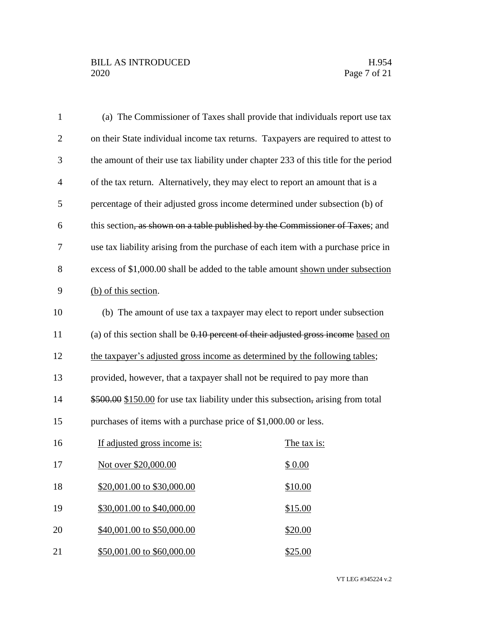| $\mathbf{1}$ | (a) The Commissioner of Taxes shall provide that individuals report use tax          |  |
|--------------|--------------------------------------------------------------------------------------|--|
| $\mathbf{2}$ | on their State individual income tax returns. Taxpayers are required to attest to    |  |
| 3            | the amount of their use tax liability under chapter 233 of this title for the period |  |
| 4            | of the tax return. Alternatively, they may elect to report an amount that is a       |  |
| 5            | percentage of their adjusted gross income determined under subsection (b) of         |  |
| 6            | this section, as shown on a table published by the Commissioner of Taxes; and        |  |
| 7            | use tax liability arising from the purchase of each item with a purchase price in    |  |
| 8            | excess of \$1,000.00 shall be added to the table amount shown under subsection       |  |
| 9            | (b) of this section.                                                                 |  |
| 10           | (b) The amount of use tax a taxpayer may elect to report under subsection            |  |
| 11           | (a) of this section shall be $0.10$ percent of their adjusted gross income based on  |  |
| 12           | the taxpayer's adjusted gross income as determined by the following tables;          |  |
| 13           | provided, however, that a taxpayer shall not be required to pay more than            |  |
| 14           | \$500.00 \$150.00 for use tax liability under this subsection, arising from total    |  |
| 15           | purchases of items with a purchase price of \$1,000.00 or less.                      |  |
| 16           | If adjusted gross income is:<br>The tax is:                                          |  |
| 17           | Not over \$20,000.00<br>\$0.00                                                       |  |
| 18           | \$20,001.00 to \$30,000.00<br>\$10.00                                                |  |
| 19           | \$30,001.00 to \$40,000.00<br>\$15.00                                                |  |
| 20           | \$40,001.00 to \$50,000.00<br>\$20.00                                                |  |
| 21           | \$50,001.00 to \$60,000.00<br>\$25.00                                                |  |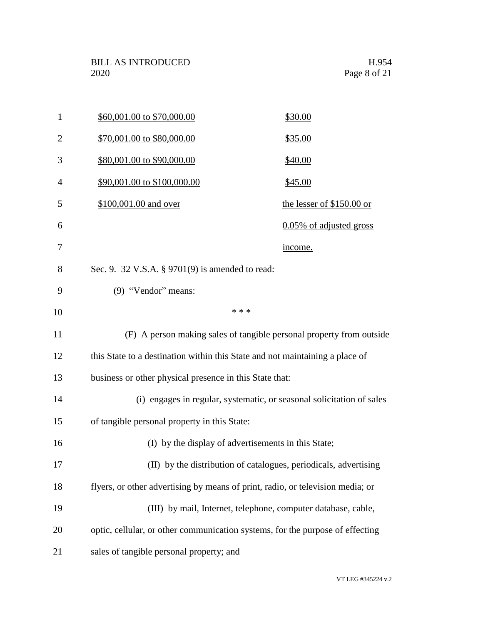| $\mathbf{1}$   | \$60,001.00 to \$70,000.00                                                     | \$30.00                    |
|----------------|--------------------------------------------------------------------------------|----------------------------|
| $\overline{2}$ | \$70,001.00 to \$80,000.00                                                     | \$35.00                    |
| 3              | \$80,001.00 to \$90,000.00                                                     | \$40.00                    |
| 4              | \$90,001.00 to \$100,000.00                                                    | \$45.00                    |
| 5              | \$100,001.00 and over                                                          | the lesser of $$150.00$ or |
| 6              |                                                                                | 0.05% of adjusted gross    |
| 7              |                                                                                | income.                    |
| 8              | Sec. 9. 32 V.S.A. § 9701(9) is amended to read:                                |                            |
| 9              | (9) "Vendor" means:                                                            |                            |
| 10             | * * *                                                                          |                            |
| 11             | (F) A person making sales of tangible personal property from outside           |                            |
| 12             | this State to a destination within this State and not maintaining a place of   |                            |
| 13             | business or other physical presence in this State that:                        |                            |
| 14             | (i) engages in regular, systematic, or seasonal solicitation of sales          |                            |
| 15             | of tangible personal property in this State:                                   |                            |
| 16             | (I) by the display of advertisements in this State;                            |                            |
| 17             | (II) by the distribution of catalogues, periodicals, advertising               |                            |
| 18             | flyers, or other advertising by means of print, radio, or television media; or |                            |
| 19             | (III) by mail, Internet, telephone, computer database, cable,                  |                            |
| 20             | optic, cellular, or other communication systems, for the purpose of effecting  |                            |
| 21             | sales of tangible personal property; and                                       |                            |
|                |                                                                                |                            |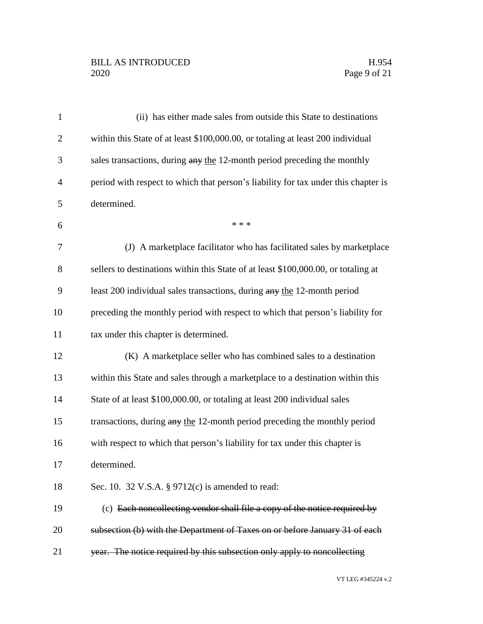| $\mathbf{1}$   | (ii) has either made sales from outside this State to destinations                 |
|----------------|------------------------------------------------------------------------------------|
| $\overline{2}$ | within this State of at least \$100,000.00, or totaling at least 200 individual    |
| 3              | sales transactions, during any the 12-month period preceding the monthly           |
| 4              | period with respect to which that person's liability for tax under this chapter is |
| 5              | determined.                                                                        |
| 6              | * * *                                                                              |
| 7              | (J) A marketplace facilitator who has facilitated sales by marketplace             |
| 8              | sellers to destinations within this State of at least \$100,000.00, or totaling at |
| 9              | least 200 individual sales transactions, during any the 12-month period            |
| 10             | preceding the monthly period with respect to which that person's liability for     |
| 11             | tax under this chapter is determined.                                              |
| 12             | (K) A market place seller who has combined sales to a destination                  |
| 13             | within this State and sales through a marketplace to a destination within this     |
| 14             | State of at least \$100,000.00, or totaling at least 200 individual sales          |
| 15             | transactions, during any the 12-month period preceding the monthly period          |
| 16             | with respect to which that person's liability for tax under this chapter is        |
| 17             | determined.                                                                        |
| 18             | Sec. 10. 32 V.S.A. § 9712(c) is amended to read:                                   |
| 19             | (c) Each noncollecting vendor shall file a copy of the notice required by          |
| 20             | subsection (b) with the Department of Taxes on or before January 31 of each        |
| 21             | year. The notice required by this subsection only apply to noncollecting           |
|                |                                                                                    |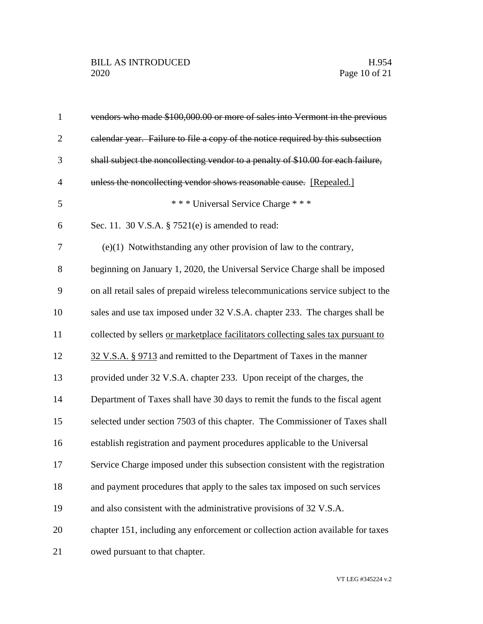| $\mathbf{1}$   | vendors who made \$100,000.00 or more of sales into Vermont in the previous       |
|----------------|-----------------------------------------------------------------------------------|
| $\overline{2}$ | calendar year. Failure to file a copy of the notice required by this subsection   |
| 3              | shall subject the noncollecting vendor to a penalty of \$10.00 for each failure,  |
| $\overline{4}$ | unless the noncollecting vendor shows reasonable cause. [Repealed.]               |
| 5              | *** Universal Service Charge ***                                                  |
| 6              | Sec. 11. 30 V.S.A. § 7521(e) is amended to read:                                  |
| 7              | $(e)(1)$ Notwithstanding any other provision of law to the contrary,              |
| 8              | beginning on January 1, 2020, the Universal Service Charge shall be imposed       |
| 9              | on all retail sales of prepaid wireless telecommunications service subject to the |
| 10             | sales and use tax imposed under 32 V.S.A. chapter 233. The charges shall be       |
| 11             | collected by sellers or marketplace facilitators collecting sales tax pursuant to |
| 12             | 32 V.S.A. § 9713 and remitted to the Department of Taxes in the manner            |
| 13             | provided under 32 V.S.A. chapter 233. Upon receipt of the charges, the            |
| 14             | Department of Taxes shall have 30 days to remit the funds to the fiscal agent     |
| 15             | selected under section 7503 of this chapter. The Commissioner of Taxes shall      |
| 16             | establish registration and payment procedures applicable to the Universal         |
| 17             | Service Charge imposed under this subsection consistent with the registration     |
| 18             | and payment procedures that apply to the sales tax imposed on such services       |
| 19             | and also consistent with the administrative provisions of 32 V.S.A.               |
| 20             | chapter 151, including any enforcement or collection action available for taxes   |
| 21             | owed pursuant to that chapter.                                                    |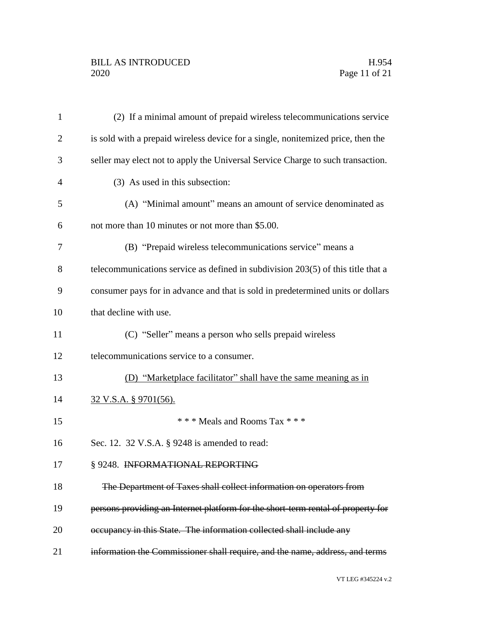| $\mathbf{1}$   | (2) If a minimal amount of prepaid wireless telecommunications service           |
|----------------|----------------------------------------------------------------------------------|
| $\overline{2}$ | is sold with a prepaid wireless device for a single, nonitemized price, then the |
| 3              | seller may elect not to apply the Universal Service Charge to such transaction.  |
| 4              | (3) As used in this subsection:                                                  |
| 5              | (A) "Minimal amount" means an amount of service denominated as                   |
| 6              | not more than 10 minutes or not more than \$5.00.                                |
| 7              | (B) "Prepaid wireless telecommunications service" means a                        |
| 8              | telecommunications service as defined in subdivision 203(5) of this title that a |
| 9              | consumer pays for in advance and that is sold in predetermined units or dollars  |
| 10             | that decline with use.                                                           |
| 11             | (C) "Seller" means a person who sells prepaid wireless                           |
| 12             | telecommunications service to a consumer.                                        |
| 13             | (D) "Marketplace facilitator" shall have the same meaning as in                  |
| 14             | <u>32 V.S.A. § 9701(56).</u>                                                     |
| 15             | *** Meals and Rooms Tax ***                                                      |
| 16             | Sec. 12. 32 V.S.A. § 9248 is amended to read:                                    |
| 17             | § 9248. INFORMATIONAL REPORTING                                                  |
| 18             | The Department of Taxes shall collect information on operators from              |
| 19             | persons providing an Internet platform for the short-term rental of property for |
| 20             | occupancy in this State. The information collected shall include any             |
| 21             | information the Commissioner shall require, and the name, address, and terms     |
|                |                                                                                  |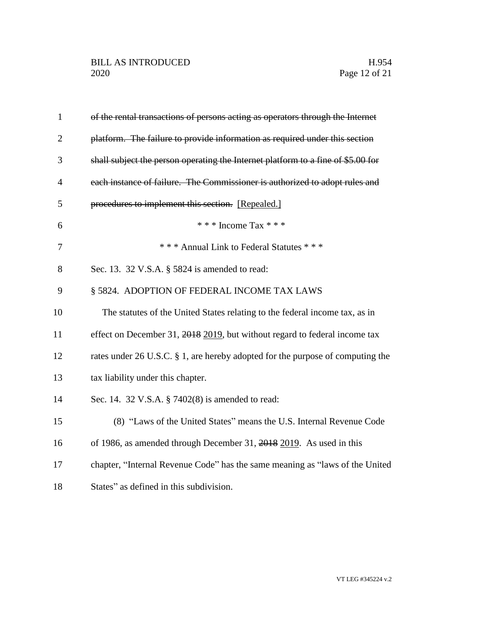| $\mathbf{1}$   | of the rental transactions of persons acting as operators through the Internet   |
|----------------|----------------------------------------------------------------------------------|
| $\overline{2}$ | platform. The failure to provide information as required under this section      |
| 3              | shall subject the person operating the Internet platform to a fine of \$5.00 for |
| 4              | each instance of failure. The Commissioner is authorized to adopt rules and      |
| 5              | procedures to implement this section. [Repealed.]                                |
| 6              | * * * Income Tax * * *                                                           |
| 7              | *** Annual Link to Federal Statutes ***                                          |
| 8              | Sec. 13. 32 V.S.A. § 5824 is amended to read:                                    |
| 9              | § 5824. ADOPTION OF FEDERAL INCOME TAX LAWS                                      |
| 10             | The statutes of the United States relating to the federal income tax, as in      |
| 11             | effect on December 31, 2018 2019, but without regard to federal income tax       |
| 12             | rates under 26 U.S.C. § 1, are hereby adopted for the purpose of computing the   |
| 13             | tax liability under this chapter.                                                |
| 14             | Sec. 14. 32 V.S.A. § 7402(8) is amended to read:                                 |
| 15             | (8) "Laws of the United States" means the U.S. Internal Revenue Code             |
| 16             | of 1986, as amended through December 31, 2018 2019. As used in this              |
| 17             | chapter, "Internal Revenue Code" has the same meaning as "laws of the United     |
| 18             | States" as defined in this subdivision.                                          |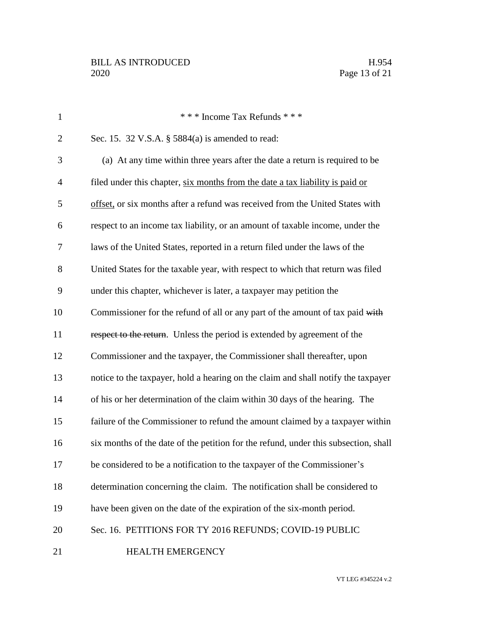| $\mathbf{1}$   | *** Income Tax Refunds ***                                                          |
|----------------|-------------------------------------------------------------------------------------|
| $\overline{2}$ | Sec. 15. 32 V.S.A. § 5884(a) is amended to read:                                    |
| 3              | (a) At any time within three years after the date a return is required to be        |
| $\overline{4}$ | filed under this chapter, six months from the date a tax liability is paid or       |
| 5              | offset, or six months after a refund was received from the United States with       |
| 6              | respect to an income tax liability, or an amount of taxable income, under the       |
| 7              | laws of the United States, reported in a return filed under the laws of the         |
| 8              | United States for the taxable year, with respect to which that return was filed     |
| 9              | under this chapter, whichever is later, a taxpayer may petition the                 |
| 10             | Commissioner for the refund of all or any part of the amount of tax paid with       |
| 11             | respect to the return. Unless the period is extended by agreement of the            |
| 12             | Commissioner and the taxpayer, the Commissioner shall thereafter, upon              |
| 13             | notice to the taxpayer, hold a hearing on the claim and shall notify the taxpayer   |
| 14             | of his or her determination of the claim within 30 days of the hearing. The         |
| 15             | failure of the Commissioner to refund the amount claimed by a taxpayer within       |
| 16             | six months of the date of the petition for the refund, under this subsection, shall |
| 17             | be considered to be a notification to the taxpayer of the Commissioner's            |
| 18             | determination concerning the claim. The notification shall be considered to         |
| 19             | have been given on the date of the expiration of the six-month period.              |
| 20             | Sec. 16. PETITIONS FOR TY 2016 REFUNDS; COVID-19 PUBLIC                             |
| 21             | HEALTH EMERGENCY                                                                    |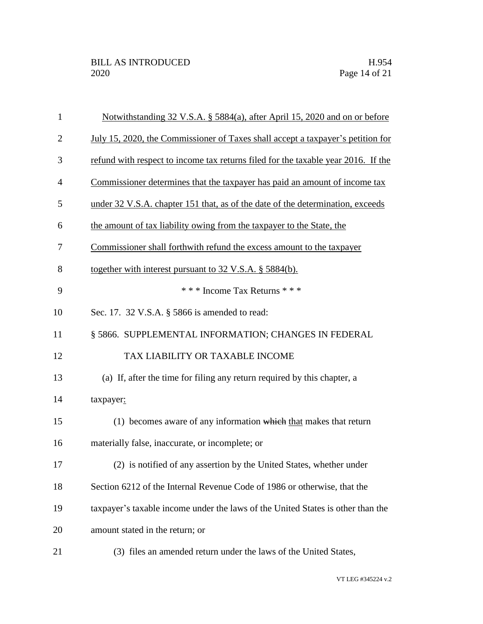| $\mathbf{1}$   | Notwithstanding 32 V.S.A. § 5884(a), after April 15, 2020 and on or before        |
|----------------|-----------------------------------------------------------------------------------|
| $\overline{2}$ | July 15, 2020, the Commissioner of Taxes shall accept a taxpayer's petition for   |
| 3              | refund with respect to income tax returns filed for the taxable year 2016. If the |
| 4              | Commissioner determines that the taxpayer has paid an amount of income tax        |
| 5              | under 32 V.S.A. chapter 151 that, as of the date of the determination, exceeds    |
| 6              | the amount of tax liability owing from the taxpayer to the State, the             |
| 7              | Commissioner shall forthwith refund the excess amount to the taxpayer             |
| 8              | together with interest pursuant to 32 V.S.A. § 5884(b).                           |
| 9              | *** Income Tax Returns ***                                                        |
| 10             | Sec. 17. 32 V.S.A. § 5866 is amended to read:                                     |
| 11             | § 5866. SUPPLEMENTAL INFORMATION; CHANGES IN FEDERAL                              |
| 12             | TAX LIABILITY OR TAXABLE INCOME                                                   |
| 13             | (a) If, after the time for filing any return required by this chapter, a          |
| 14             | taxpayer:                                                                         |
| 15             | $(1)$ becomes aware of any information which that makes that return               |
| 16             | materially false, inaccurate, or incomplete; or                                   |
| 17             | (2) is notified of any assertion by the United States, whether under              |
| 18             | Section 6212 of the Internal Revenue Code of 1986 or otherwise, that the          |
| 19             | taxpayer's taxable income under the laws of the United States is other than the   |
| 20             | amount stated in the return; or                                                   |
| 21             | (3) files an amended return under the laws of the United States,                  |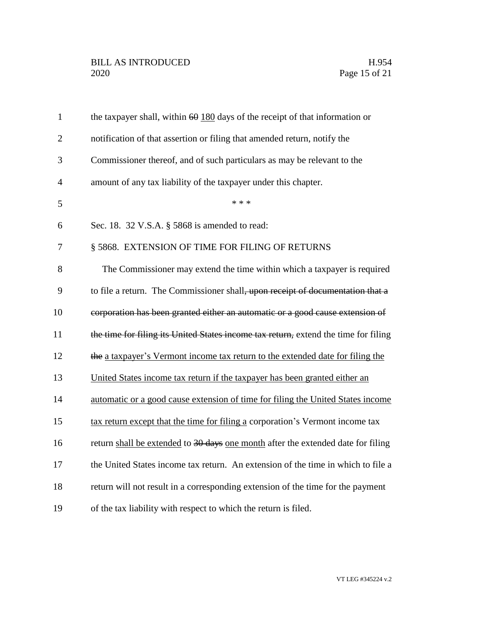| $\mathbf{1}$   | the taxpayer shall, within $60$ 180 days of the receipt of that information or      |
|----------------|-------------------------------------------------------------------------------------|
| $\overline{2}$ | notification of that assertion or filing that amended return, notify the            |
| 3              | Commissioner thereof, and of such particulars as may be relevant to the             |
| $\overline{4}$ | amount of any tax liability of the taxpayer under this chapter.                     |
| 5              | * * *                                                                               |
| 6              | Sec. 18. 32 V.S.A. § 5868 is amended to read:                                       |
| 7              | § 5868. EXTENSION OF TIME FOR FILING OF RETURNS                                     |
| 8              | The Commissioner may extend the time within which a taxpayer is required            |
| 9              | to file a return. The Commissioner shall, upon receipt of documentation that a      |
| 10             | corporation has been granted either an automatic or a good cause extension of       |
| 11             | the time for filing its United States income tax return, extend the time for filing |
| 12             | the a taxpayer's Vermont income tax return to the extended date for filing the      |
| 13             | United States income tax return if the taxpayer has been granted either an          |
| 14             | automatic or a good cause extension of time for filing the United States income     |
| 15             | tax return except that the time for filing a corporation's Vermont income tax       |
| 16             | return shall be extended to 30 days one month after the extended date for filing    |
| 17             | the United States income tax return. An extension of the time in which to file a    |
| 18             | return will not result in a corresponding extension of the time for the payment     |
| 19             | of the tax liability with respect to which the return is filed.                     |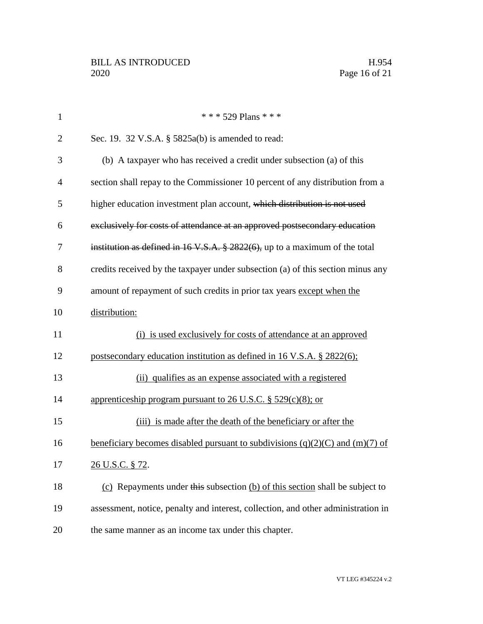| $\mathbf{1}$   | * * * 529 Plans * * *                                                                                          |
|----------------|----------------------------------------------------------------------------------------------------------------|
| $\overline{2}$ | Sec. 19. 32 V.S.A. $\S$ 5825a(b) is amended to read:                                                           |
| 3              | (b) A taxpayer who has received a credit under subsection (a) of this                                          |
| $\overline{4}$ | section shall repay to the Commissioner 10 percent of any distribution from a                                  |
| 5              | higher education investment plan account, which distribution is not used                                       |
| 6              | exclusively for costs of attendance at an approved postsecondary education                                     |
| 7              | institution as defined in $16 \text{ V.S.A. }$ \$ 2822(6), up to a maximum of the total                        |
| 8              | credits received by the taxpayer under subsection (a) of this section minus any                                |
| 9              | amount of repayment of such credits in prior tax years except when the                                         |
| 10             | distribution:                                                                                                  |
| 11             | (i) is used exclusively for costs of attendance at an approved                                                 |
| 12             | postsecondary education institution as defined in 16 V.S.A. § 2822(6);                                         |
| 13             | (ii) qualifies as an expense associated with a registered                                                      |
| 14             | apprenticeship program pursuant to 26 U.S.C. $\S$ 529(c)(8); or                                                |
| 15             | (iii) is made after the death of the beneficiary or after the                                                  |
| 16             | <u>beneficiary becomes disabled pursuant to subdivisions <math>(q)(2)(C)</math> and <math>(m)(7)</math> of</u> |
| 17             | 26 U.S.C. § 72.                                                                                                |
| 18             | (c) Repayments under this subsection (b) of this section shall be subject to                                   |
| 19             | assessment, notice, penalty and interest, collection, and other administration in                              |
| 20             | the same manner as an income tax under this chapter.                                                           |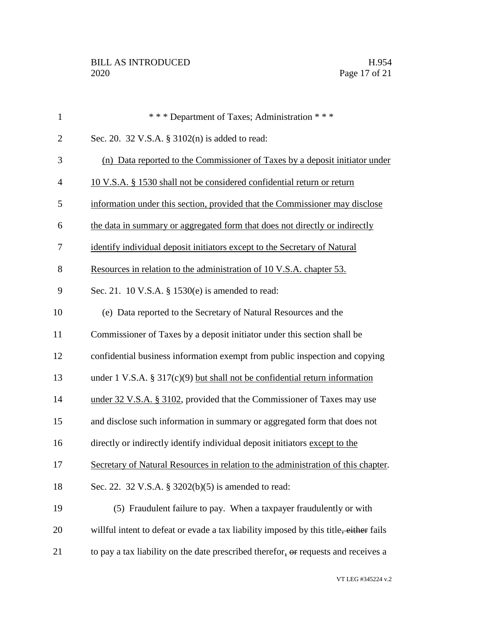| $\mathbf{1}$   | *** Department of Taxes; Administration ***                                           |
|----------------|---------------------------------------------------------------------------------------|
| $\overline{2}$ | Sec. 20. 32 V.S.A. § 3102(n) is added to read:                                        |
| 3              | (n) Data reported to the Commissioner of Taxes by a deposit initiator under           |
| $\overline{4}$ | 10 V.S.A. § 1530 shall not be considered confidential return or return                |
| 5              | information under this section, provided that the Commissioner may disclose           |
| 6              | the data in summary or aggregated form that does not directly or indirectly           |
| 7              | identify individual deposit initiators except to the Secretary of Natural             |
| 8              | Resources in relation to the administration of 10 V.S.A. chapter 53.                  |
| 9              | Sec. 21. 10 V.S.A. § 1530(e) is amended to read:                                      |
| 10             | (e) Data reported to the Secretary of Natural Resources and the                       |
| 11             | Commissioner of Taxes by a deposit initiator under this section shall be              |
| 12             | confidential business information exempt from public inspection and copying           |
| 13             | under 1 V.S.A. $\S 317(c)(9)$ but shall not be confidential return information        |
| 14             | under 32 V.S.A. § 3102, provided that the Commissioner of Taxes may use               |
| 15             | and disclose such information in summary or aggregated form that does not             |
| 16             | directly or indirectly identify individual deposit initiators except to the           |
| 17             | Secretary of Natural Resources in relation to the administration of this chapter.     |
| 18             | Sec. 22. 32 V.S.A. § 3202(b)(5) is amended to read:                                   |
| 19             | (5) Fraudulent failure to pay. When a taxpayer fraudulently or with                   |
| 20             | willful intent to defeat or evade a tax liability imposed by this title, either fails |
| 21             | to pay a tax liability on the date prescribed therefor, or requests and receives a    |
|                |                                                                                       |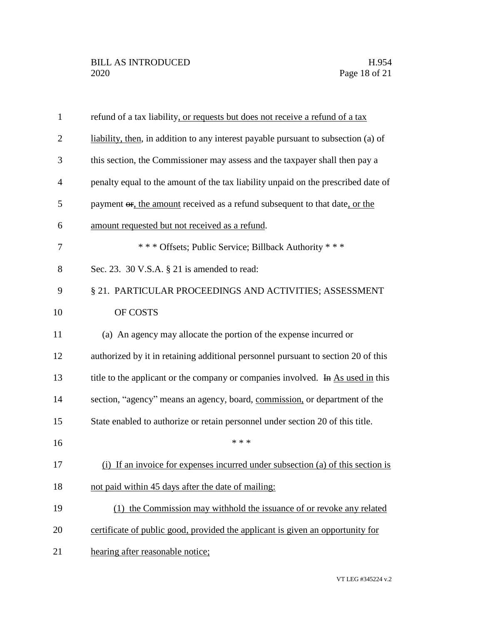| $\mathbf{1}$   | refund of a tax liability, or requests but does not receive a refund of a tax      |
|----------------|------------------------------------------------------------------------------------|
| $\overline{2}$ | liability, then, in addition to any interest payable pursuant to subsection (a) of |
| 3              | this section, the Commissioner may assess and the taxpayer shall then pay a        |
| $\overline{4}$ | penalty equal to the amount of the tax liability unpaid on the prescribed date of  |
| 5              | payment or, the amount received as a refund subsequent to that date, or the        |
| 6              | amount requested but not received as a refund.                                     |
| $\overline{7}$ | *** Offsets; Public Service; Billback Authority ***                                |
| 8              | Sec. 23. 30 V.S.A. § 21 is amended to read:                                        |
| 9              | § 21. PARTICULAR PROCEEDINGS AND ACTIVITIES; ASSESSMENT                            |
| 10             | OF COSTS                                                                           |
| 11             | (a) An agency may allocate the portion of the expense incurred or                  |
| 12             | authorized by it in retaining additional personnel pursuant to section 20 of this  |
| 13             | title to the applicant or the company or companies involved. In As used in this    |
| 14             | section, "agency" means an agency, board, commission, or department of the         |
| 15             | State enabled to authorize or retain personnel under section 20 of this title.     |
| 16             | * * *                                                                              |
| 17             | (i) If an invoice for expenses incurred under subsection (a) of this section is    |
| 18             | not paid within 45 days after the date of mailing:                                 |
| 19             | (1) the Commission may withhold the issuance of or revoke any related              |
| 20             | certificate of public good, provided the applicant is given an opportunity for     |
| 21             | hearing after reasonable notice;                                                   |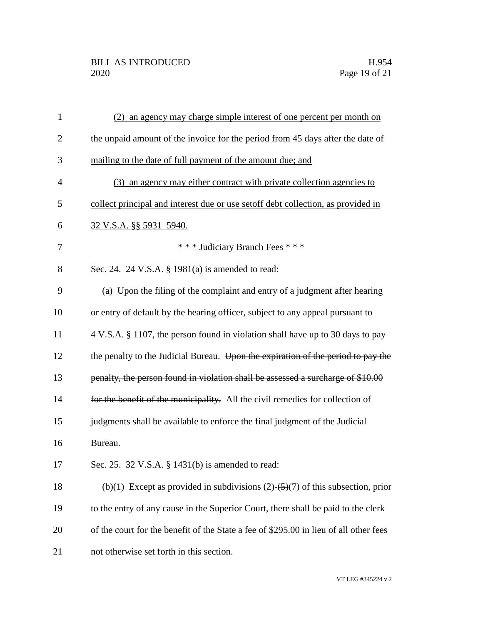| $\mathbf{1}$   | (2) an agency may charge simple interest of one percent per month on                  |
|----------------|---------------------------------------------------------------------------------------|
| $\overline{2}$ | the unpaid amount of the invoice for the period from 45 days after the date of        |
| 3              | mailing to the date of full payment of the amount due; and                            |
| 4              | (3) an agency may either contract with private collection agencies to                 |
| 5              | collect principal and interest due or use set off debt collection, as provided in     |
| 6              | 32 V.S.A. §§ 5931-5940.                                                               |
| 7              | *** Judiciary Branch Fees ***                                                         |
| 8              | Sec. 24. 24 V.S.A. § 1981(a) is amended to read:                                      |
| 9              | (a) Upon the filing of the complaint and entry of a judgment after hearing            |
| 10             | or entry of default by the hearing officer, subject to any appeal pursuant to         |
| 11             | 4 V.S.A. § 1107, the person found in violation shall have up to 30 days to pay        |
| 12             | the penalty to the Judicial Bureau. Upon the expiration of the period to pay the      |
| 13             | penalty, the person found in violation shall be assessed a surcharge of \$10.00       |
| 14             | for the benefit of the municipality. All the civil remedies for collection of         |
| 15             | judgments shall be available to enforce the final judgment of the Judicial            |
| 16             | Bureau.                                                                               |
| 17             | Sec. 25. 32 V.S.A. § 1431(b) is amended to read:                                      |
| 18             | (b)(1) Except as provided in subdivisions $(2)$ - $(5)(7)$ of this subsection, prior  |
| 19             | to the entry of any cause in the Superior Court, there shall be paid to the clerk     |
| 20             | of the court for the benefit of the State a fee of \$295.00 in lieu of all other fees |
| 21             | not otherwise set forth in this section.                                              |

VT LEG #345224 v.2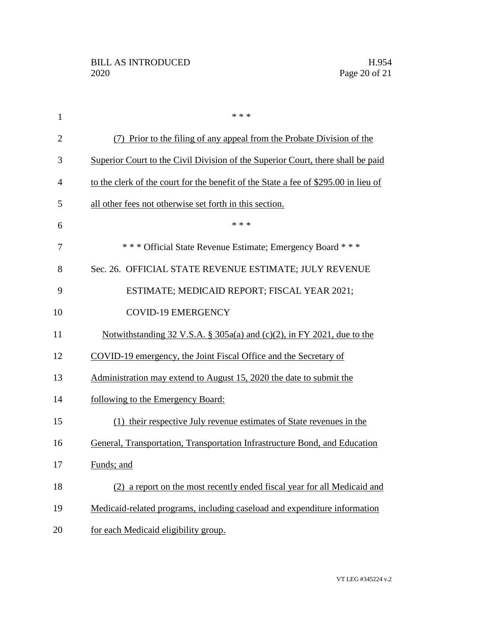| 1              | * * *                                                                               |
|----------------|-------------------------------------------------------------------------------------|
| $\overline{2}$ | Prior to the filing of any appeal from the Probate Division of the                  |
| 3              | Superior Court to the Civil Division of the Superior Court, there shall be paid     |
| 4              | to the clerk of the court for the benefit of the State a fee of \$295.00 in lieu of |
| 5              | all other fees not otherwise set forth in this section.                             |
| 6              | * * *                                                                               |
| 7              | *** Official State Revenue Estimate; Emergency Board ***                            |
| 8              | Sec. 26. OFFICIAL STATE REVENUE ESTIMATE; JULY REVENUE                              |
| 9              | ESTIMATE; MEDICAID REPORT; FISCAL YEAR 2021;                                        |
| 10             | <b>COVID-19 EMERGENCY</b>                                                           |
| 11             | Notwithstanding $32 \text{ V.S.A. }$ § $305a(a)$ and (c)(2), in FY 2021, due to the |
| 12             | COVID-19 emergency, the Joint Fiscal Office and the Secretary of                    |
| 13             | Administration may extend to August 15, 2020 the date to submit the                 |
| 14             | following to the Emergency Board:                                                   |
| 15             | (1) their respective July revenue estimates of State revenues in the                |
| 16             | General, Transportation, Transportation Infrastructure Bond, and Education          |
| 17             | Funds; and                                                                          |
| 18             | (2) a report on the most recently ended fiscal year for all Medicaid and            |
| 19             | Medicaid-related programs, including caseload and expenditure information           |
| 20             | for each Medicaid eligibility group.                                                |